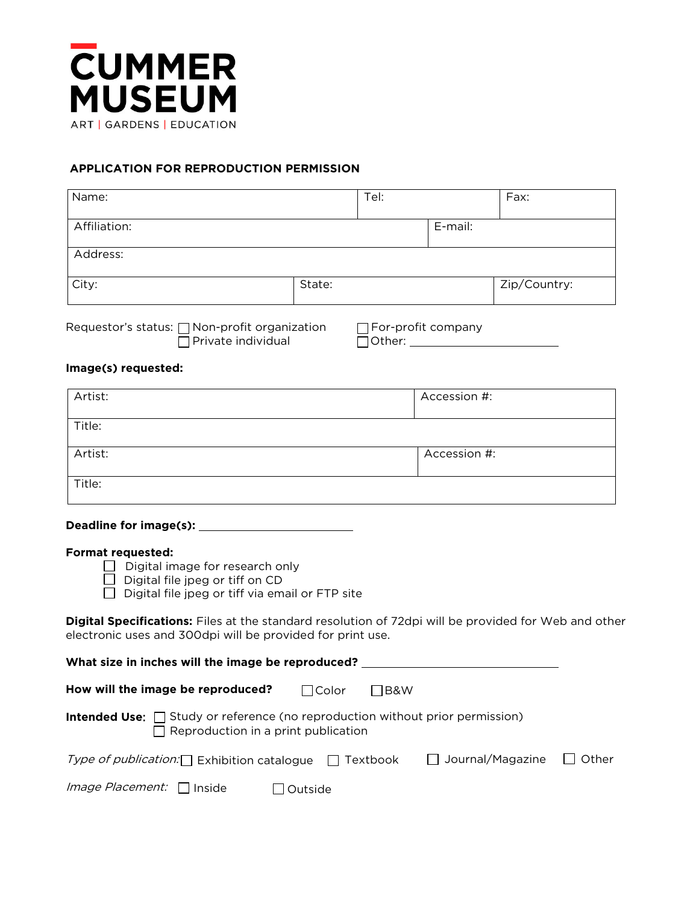

# **APPLICATION FOR REPRODUCTION PERMISSION**

| Name:        |        | Tel: |         | Fax:         |
|--------------|--------|------|---------|--------------|
| Affiliation: |        |      | E-mail: |              |
| Address:     |        |      |         |              |
| City:        | State: |      |         | Zip/Country: |
|              |        |      |         |              |

Requestor's status:  $\bigcap$  Non-profit organization  $\bigcap$  For-profit company Private individual Other:

#### **Image(s) requested:**

| Artist: | Accession #: |
|---------|--------------|
| Title:  |              |
| Artist: | Accession #: |
| Title:  |              |

# **Deadline for image(s):**

#### **Format requested:**

- Digital image for research only
- $\Box$  Digital file jpeg or tiff on CD
- $\Box$  Digital file jpeg or tiff via email or FTP site

**Digital Specifications:** Files at the standard resolution of 72dpi will be provided for Web and other electronic uses and 300dpi will be provided for print use.

| What size in inches will the image be reproduced?                                                                                  |          |        |                                      |  |  |  |
|------------------------------------------------------------------------------------------------------------------------------------|----------|--------|--------------------------------------|--|--|--|
| How will the image be reproduced?                                                                                                  | l IColor | I IB&W |                                      |  |  |  |
| <b>Intended Use:</b> □ Study or reference (no reproduction without prior permission)<br>$\Box$ Reproduction in a print publication |          |        |                                      |  |  |  |
| <i>Type of publication:</i> Exhibition catalogue $\Box$ Textbook                                                                   |          |        | $\Box$ Journal/Magazine $\Box$ Other |  |  |  |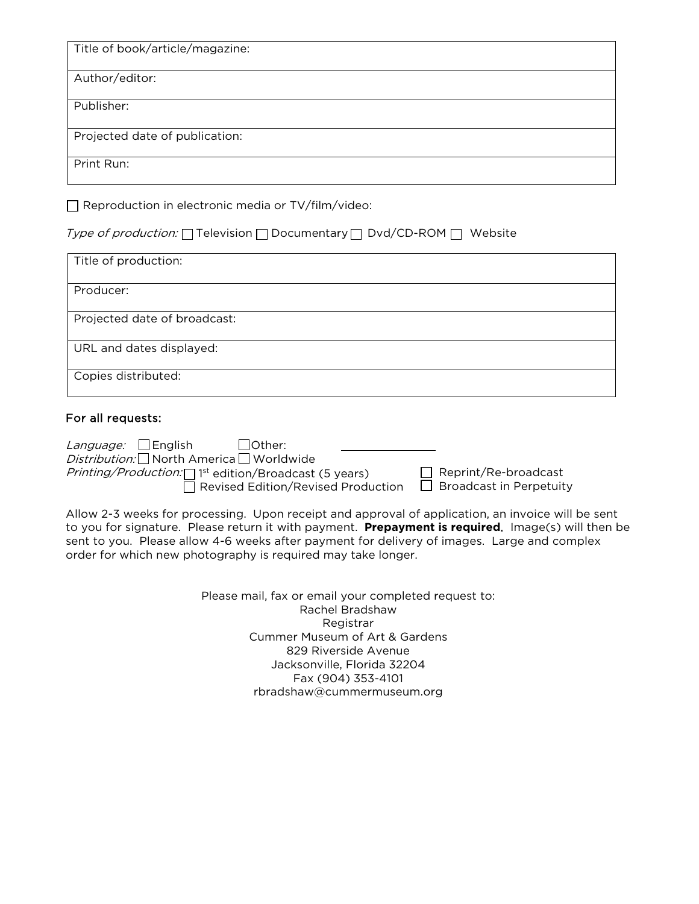Title of book/article/magazine:

Author/editor:

Publisher:

Projected date of publication:

Print Run:

 $\Box$  Reproduction in electronic media or TV/film/video:

Type of production:  $\Box$  Television  $\Box$  Documentary  $\Box$  Dvd/CD-ROM  $\Box$  Website

| Title of production:         |
|------------------------------|
| Producer:                    |
| Projected date of broadcast: |
| URL and dates displayed:     |
| Copies distributed:          |

# For all requests:

| <i>Language:</i> $\Box$ English<br>l Other:                                   |                                |
|-------------------------------------------------------------------------------|--------------------------------|
| <i>Distribution:</i> North America Vorldwide                                  |                                |
| <i>Printing/Production:</i> $\Box$ <sup>1st</sup> edition/Broadcast (5 years) | $\Box$ Reprint/Re-broadcast    |
| $\Box$ Revised Edition/Revised Production                                     | $\Box$ Broadcast in Perpetuity |

Allow 2-3 weeks for processing. Upon receipt and approval of application, an invoice will be sent to you for signature. Please return it with payment. **Prepayment is required**. Image(s) will then be sent to you. Please allow 4-6 weeks after payment for delivery of images. Large and complex order for which new photography is required may take longer.

> Please mail, fax or email your completed request to: Rachel Bradshaw **Registrar** Cummer Museum of Art & Gardens 829 Riverside Avenue Jacksonville, Florida 32204 Fax (904) 353-4101 rbradshaw@cummermuseum.org